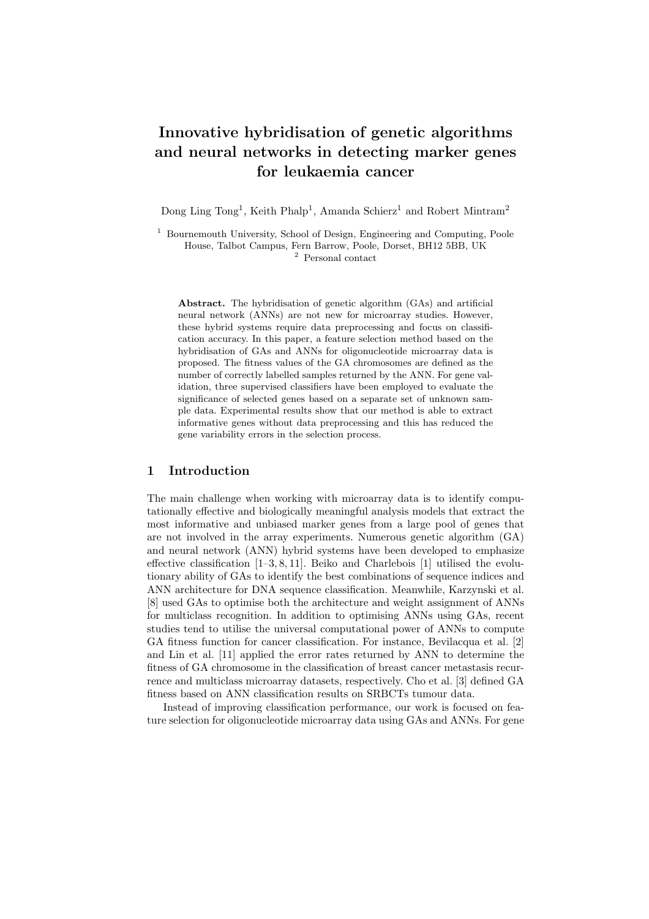# Innovative hybridisation of genetic algorithms and neural networks in detecting marker genes for leukaemia cancer

Dong Ling Tong<sup>1</sup>, Keith Phalp<sup>1</sup>, Amanda Schierz<sup>1</sup> and Robert Mintram<sup>2</sup>

<sup>1</sup> Bournemouth University, School of Design, Engineering and Computing, Poole House, Talbot Campus, Fern Barrow, Poole, Dorset, BH12 5BB, UK <sup>2</sup> Personal contact

Abstract. The hybridisation of genetic algorithm (GAs) and artificial neural network (ANNs) are not new for microarray studies. However, these hybrid systems require data preprocessing and focus on classification accuracy. In this paper, a feature selection method based on the hybridisation of GAs and ANNs for oligonucleotide microarray data is proposed. The fitness values of the GA chromosomes are defined as the number of correctly labelled samples returned by the ANN. For gene validation, three supervised classifiers have been employed to evaluate the significance of selected genes based on a separate set of unknown sample data. Experimental results show that our method is able to extract informative genes without data preprocessing and this has reduced the gene variability errors in the selection process.

## 1 Introduction

The main challenge when working with microarray data is to identify computationally effective and biologically meaningful analysis models that extract the most informative and unbiased marker genes from a large pool of genes that are not involved in the array experiments. Numerous genetic algorithm (GA) and neural network (ANN) hybrid systems have been developed to emphasize effective classification [1–3, 8, 11]. Beiko and Charlebois [1] utilised the evolutionary ability of GAs to identify the best combinations of sequence indices and ANN architecture for DNA sequence classification. Meanwhile, Karzynski et al. [8] used GAs to optimise both the architecture and weight assignment of ANNs for multiclass recognition. In addition to optimising ANNs using GAs, recent studies tend to utilise the universal computational power of ANNs to compute GA fitness function for cancer classification. For instance, Bevilacqua et al. [2] and Lin et al. [11] applied the error rates returned by ANN to determine the fitness of GA chromosome in the classification of breast cancer metastasis recurrence and multiclass microarray datasets, respectively. Cho et al. [3] defined GA fitness based on ANN classification results on SRBCTs tumour data.

Instead of improving classification performance, our work is focused on feature selection for oligonucleotide microarray data using GAs and ANNs. For gene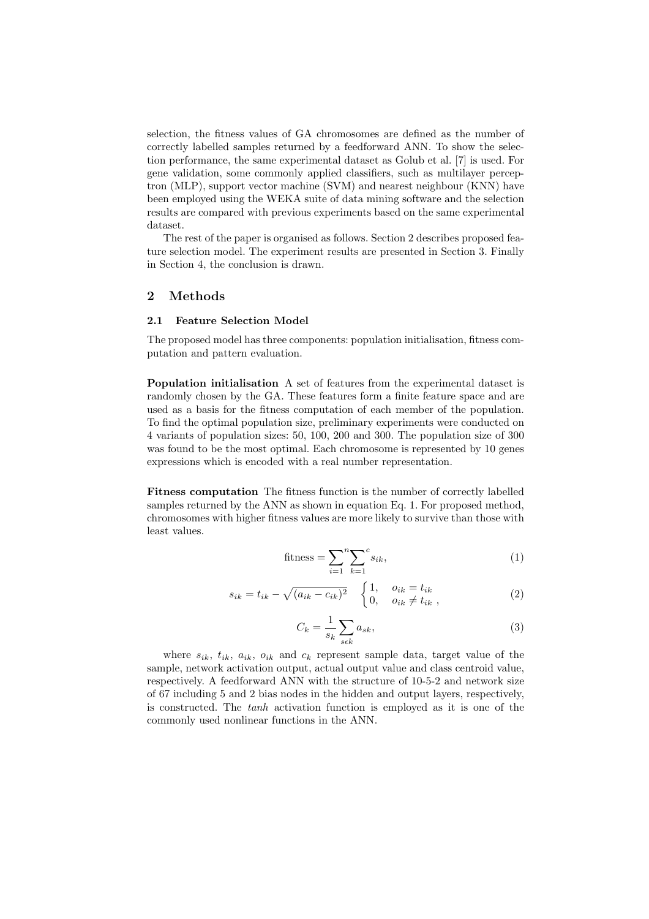selection, the fitness values of GA chromosomes are defined as the number of correctly labelled samples returned by a feedforward ANN. To show the selection performance, the same experimental dataset as Golub et al. [7] is used. For gene validation, some commonly applied classifiers, such as multilayer perceptron (MLP), support vector machine (SVM) and nearest neighbour (KNN) have been employed using the WEKA suite of data mining software and the selection results are compared with previous experiments based on the same experimental dataset.

The rest of the paper is organised as follows. Section 2 describes proposed feature selection model. The experiment results are presented in Section 3. Finally in Section 4, the conclusion is drawn.

# 2 Methods

#### 2.1 Feature Selection Model

The proposed model has three components: population initialisation, fitness computation and pattern evaluation.

Population initialisation A set of features from the experimental dataset is randomly chosen by the GA. These features form a finite feature space and are used as a basis for the fitness computation of each member of the population. To find the optimal population size, preliminary experiments were conducted on 4 variants of population sizes: 50, 100, 200 and 300. The population size of 300 was found to be the most optimal. Each chromosome is represented by 10 genes expressions which is encoded with a real number representation.

Fitness computation The fitness function is the number of correctly labelled samples returned by the ANN as shown in equation Eq. 1. For proposed method, chromosomes with higher fitness values are more likely to survive than those with least values.

fitness = 
$$
\sum_{i=1}^{n} \sum_{k=1}^{c} s_{ik},
$$
 (1)

$$
s_{ik} = t_{ik} - \sqrt{(a_{ik} - c_{ik})^2} \begin{cases} 1, & o_{ik} = t_{ik} \\ 0, & o_{ik} \neq t_{ik} \end{cases}
$$
 (2)

$$
C_k = \frac{1}{s_k} \sum_{s \in k} a_{sk},\tag{3}
$$

where  $s_{ik}$ ,  $t_{ik}$ ,  $a_{ik}$ ,  $o_{ik}$  and  $c_k$  represent sample data, target value of the sample, network activation output, actual output value and class centroid value, respectively. A feedforward ANN with the structure of 10-5-2 and network size of 67 including 5 and 2 bias nodes in the hidden and output layers, respectively, is constructed. The tanh activation function is employed as it is one of the commonly used nonlinear functions in the ANN.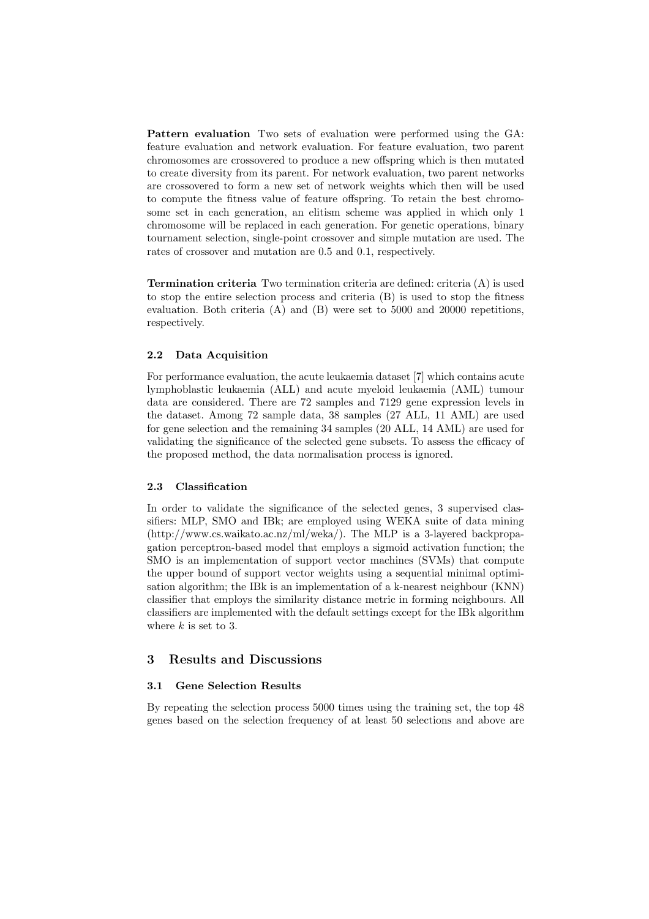Pattern evaluation Two sets of evaluation were performed using the GA: feature evaluation and network evaluation. For feature evaluation, two parent chromosomes are crossovered to produce a new offspring which is then mutated to create diversity from its parent. For network evaluation, two parent networks are crossovered to form a new set of network weights which then will be used to compute the fitness value of feature offspring. To retain the best chromosome set in each generation, an elitism scheme was applied in which only 1 chromosome will be replaced in each generation. For genetic operations, binary tournament selection, single-point crossover and simple mutation are used. The rates of crossover and mutation are 0.5 and 0.1, respectively.

Termination criteria Two termination criteria are defined: criteria (A) is used to stop the entire selection process and criteria (B) is used to stop the fitness evaluation. Both criteria (A) and (B) were set to 5000 and 20000 repetitions, respectively.

### 2.2 Data Acquisition

For performance evaluation, the acute leukaemia dataset [7] which contains acute lymphoblastic leukaemia (ALL) and acute myeloid leukaemia (AML) tumour data are considered. There are 72 samples and 7129 gene expression levels in the dataset. Among 72 sample data, 38 samples (27 ALL, 11 AML) are used for gene selection and the remaining 34 samples (20 ALL, 14 AML) are used for validating the significance of the selected gene subsets. To assess the efficacy of the proposed method, the data normalisation process is ignored.

### 2.3 Classification

In order to validate the significance of the selected genes, 3 supervised classifiers: MLP, SMO and IBk; are employed using WEKA suite of data mining (http://www.cs.waikato.ac.nz/ml/weka/). The MLP is a 3-layered backpropagation perceptron-based model that employs a sigmoid activation function; the SMO is an implementation of support vector machines (SVMs) that compute the upper bound of support vector weights using a sequential minimal optimisation algorithm; the IBk is an implementation of a k-nearest neighbour (KNN) classifier that employs the similarity distance metric in forming neighbours. All classifiers are implemented with the default settings except for the IBk algorithm where  $k$  is set to 3.

## 3 Results and Discussions

#### 3.1 Gene Selection Results

By repeating the selection process 5000 times using the training set, the top 48 genes based on the selection frequency of at least 50 selections and above are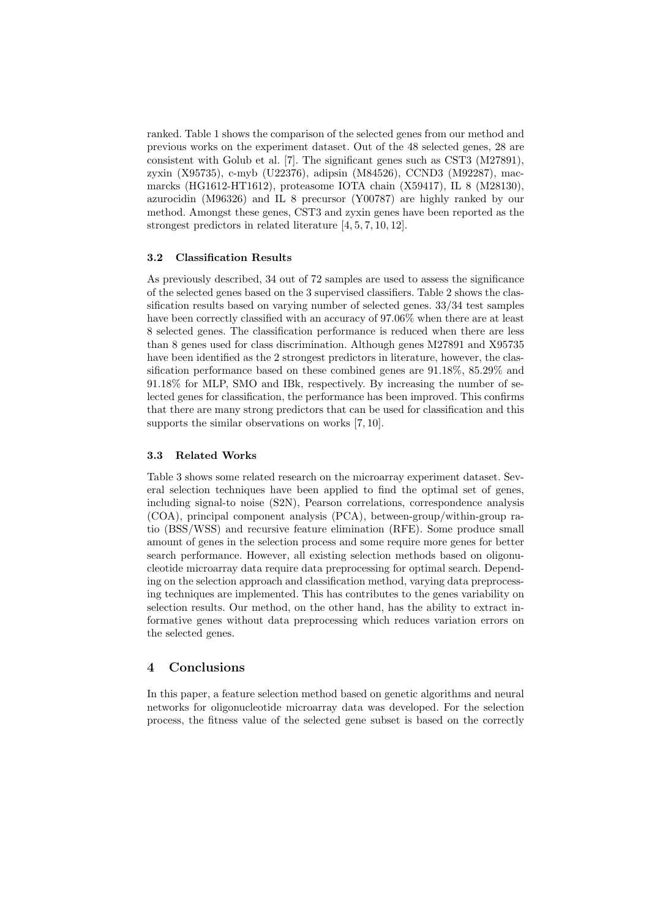ranked. Table 1 shows the comparison of the selected genes from our method and previous works on the experiment dataset. Out of the 48 selected genes, 28 are consistent with Golub et al. [7]. The significant genes such as CST3 (M27891), zyxin (X95735), c-myb (U22376), adipsin (M84526), CCND3 (M92287), macmarcks (HG1612-HT1612), proteasome IOTA chain (X59417), IL 8 (M28130), azurocidin (M96326) and IL 8 precursor (Y00787) are highly ranked by our method. Amongst these genes, CST3 and zyxin genes have been reported as the strongest predictors in related literature [4, 5, 7, 10, 12].

## 3.2 Classification Results

As previously described, 34 out of 72 samples are used to assess the significance of the selected genes based on the 3 supervised classifiers. Table 2 shows the classification results based on varying number of selected genes. 33/34 test samples have been correctly classified with an accuracy of 97.06% when there are at least 8 selected genes. The classification performance is reduced when there are less than 8 genes used for class discrimination. Although genes M27891 and X95735 have been identified as the 2 strongest predictors in literature, however, the classification performance based on these combined genes are 91.18%, 85.29% and 91.18% for MLP, SMO and IBk, respectively. By increasing the number of selected genes for classification, the performance has been improved. This confirms that there are many strong predictors that can be used for classification and this supports the similar observations on works [7, 10].

#### 3.3 Related Works

Table 3 shows some related research on the microarray experiment dataset. Several selection techniques have been applied to find the optimal set of genes, including signal-to noise (S2N), Pearson correlations, correspondence analysis (COA), principal component analysis (PCA), between-group/within-group ratio (BSS/WSS) and recursive feature elimination (RFE). Some produce small amount of genes in the selection process and some require more genes for better search performance. However, all existing selection methods based on oligonucleotide microarray data require data preprocessing for optimal search. Depending on the selection approach and classification method, varying data preprocessing techniques are implemented. This has contributes to the genes variability on selection results. Our method, on the other hand, has the ability to extract informative genes without data preprocessing which reduces variation errors on the selected genes.

## 4 Conclusions

In this paper, a feature selection method based on genetic algorithms and neural networks for oligonucleotide microarray data was developed. For the selection process, the fitness value of the selected gene subset is based on the correctly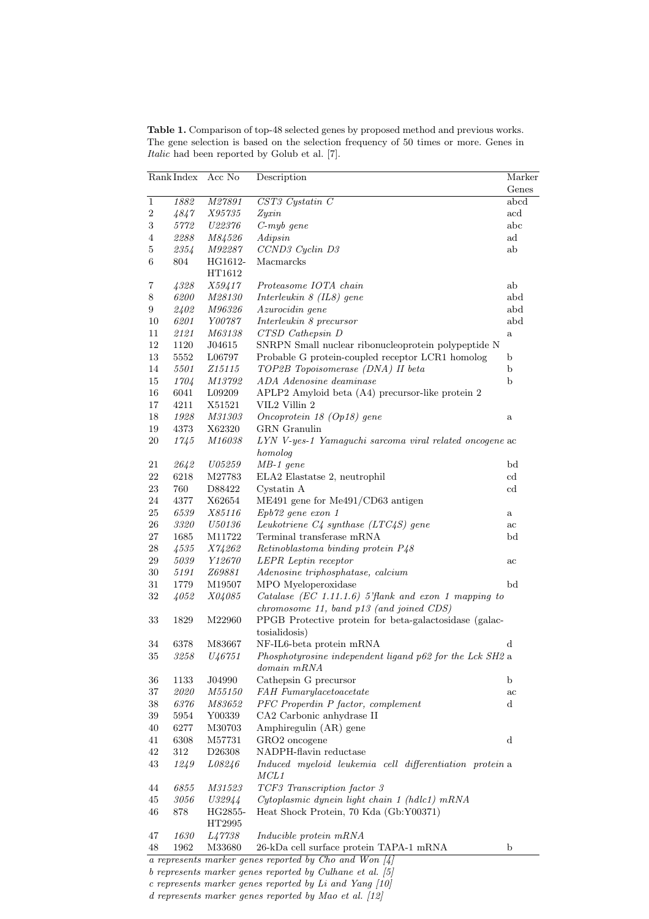Table 1. Comparison of top-48 selected genes by proposed method and previous works. The gene selection is based on the selection frequency of 50 times or more. Genes in Italic had been reported by Golub et al. [7].

| Rank Index       |            | Acc No         | Description                                                     |                      |
|------------------|------------|----------------|-----------------------------------------------------------------|----------------------|
|                  |            |                |                                                                 | Genes                |
| $\overline{1}$   | 1882       | M27891         | $CST3$ Cystatin $C$                                             | abcd                 |
| $\boldsymbol{2}$ | 4847       | <i>X95735</i>  | Zyzin                                                           | $\operatorname{acd}$ |
| $\boldsymbol{3}$ | 5772       | U22376         | $C$ -myb gene                                                   | abc                  |
| $\overline{4}$   | 2288       | <i>M84526</i>  | Adipsin                                                         | ad                   |
| 5                | 2354       | M92287         | CCND3 Cyclin D3                                                 | ab                   |
| 6                | 804        | HG1612-        | Macmarcks                                                       |                      |
|                  |            | HT1612         |                                                                 |                      |
| 7                | 4328       | <i>X59417</i>  | Proteasome IOTA chain                                           | ab                   |
| 8                | 6200       | <i>M28130</i>  | Interleukin $8$ (IL8) gene                                      | abd                  |
| 9                | 2402       | <i>M96326</i>  | Azurocidin gene                                                 | abd                  |
| 10               | 6201       | <i>Y00787</i>  | Interleukin 8 precursor                                         | abd                  |
| 11               | 2121       | <i>M63138</i>  | CTSD Cathepsin D                                                | $\rm{a}$             |
| 12               | 1120       | J04615         | SNRPN Small nuclear ribonucleoprotein polypeptide N             |                      |
| 13               | 5552       | L06797         | Probable G protein-coupled receptor LCR1 homolog                | b                    |
| 14               | $5501\,$   | <i>Z</i> 15115 | TOP2B Topoisomerase (DNA) II beta                               | b                    |
| 15               | 1704       | <i>M13792</i>  | ADA Adenosine deaminase                                         | $\mathbf b$          |
| 16               | 6041       | L09209         | APLP2 Amyloid beta (A4) precursor-like protein 2                |                      |
| 17               | 4211       | X51521         | VIL2 Villin 2                                                   |                      |
| 18               | 1928       | <i>M31303</i>  | Oncoprotein 18 (Op18) gene                                      | a                    |
| 19               | 4373       | X62320         | <b>GRN</b> Granulin                                             |                      |
| $20\,$           | 1745       | <i>M16038</i>  | LYN V-yes-1 Yamaguchi sarcoma viral related oncogene ac         |                      |
|                  |            |                | homolog                                                         |                      |
| 21               | 2642       | ${\it U05259}$ | $MB-1$ gene                                                     | bd                   |
| $22\,$           | 6218       | M27783         | ELA2 Elastatse 2, neutrophil                                    | $_{\rm cd}$          |
| 23               | 760        | D88422         | Cystatin A                                                      | $_{\rm cd}$          |
| $24\,$           | 4377       | X62654         | ME491 gene for Me491/CD63 antigen                               |                      |
| $25\,$           | $\it 6539$ | <i>X85116</i>  | Epb72 gene exon 1                                               | a                    |
| 26               | 3320       | <i>U50136</i>  | Leukotriene $C4$ synthase (LTC4S) gene                          | ac                   |
| $27\,$           | 1685       | M11722         | Terminal transferase mRNA                                       | bd                   |
| $\sqrt{28}$      | 4535       | X74262         | Retinoblastoma binding protein P48                              |                      |
| 29               | 5039       | Y12670         | LEPR Leptin receptor                                            | ac                   |
| $30\,$           | 5191       | <i>Z69881</i>  | Adenosine triphosphatase, calcium                               |                      |
| $31\,$           | 1779       | M19507         | MPO Myeloperoxidase                                             | $_{\rm bd}$          |
| 32               | 4052       | <i>X04085</i>  | Catalase (EC 1.11.1.6) 5'flank and exon 1 mapping to            |                      |
|                  |            |                | chromosome 11, band p13 (and joined CDS)                        |                      |
| 33               | 1829       | M22960         | PPGB Protective protein for beta-galactosidase (galac-          |                      |
|                  |            |                | tosialidosis)                                                   |                      |
| 34               | 6378       | M83667         | NF-IL6-beta protein mRNA                                        | d                    |
| 35               | 3258       | U46751         | Phosphotyrosine independent ligand p62 for the Lck SH2 a        |                      |
|                  |            |                | domain mRNA                                                     |                      |
| 36               | 1133       | J04990         | Cathepsin G precursor                                           | b                    |
| 37               | 2020       | <i>M55150</i>  | FAH Fumarylacetoacetate                                         | ac                   |
| 38               | 6376       | <i>M83652</i>  | PFC Properdin P factor, complement                              | d                    |
| 39               | 5954       | Y00339         | CA2 Carbonic anhydrase II                                       |                      |
| 40               | 6277       | M30703         | Amphiregulin (AR) gene                                          |                      |
| 41               | 6308       | M57731         | GRO2 oncogene                                                   | d                    |
| 42               | $312\,$    | D26308         | NADPH-flavin reductase                                          |                      |
| 43               | 1249       | L08246         | Induced myeloid leukemia cell differentiation protein a<br>MCL1 |                      |
| 44               | 6855       | M31523         | TCF3 Transcription factor 3                                     |                      |
| 45               | 3056       | U32944         | Cytoplasmic dynein light chain 1 (hdlc1) mRNA                   |                      |
| 46               | 878        | HG2855-        | Heat Shock Protein, 70 Kda (Gb:Y00371)                          |                      |
|                  |            | HT2995         |                                                                 |                      |
| 47               | 1630       | L47738         | Inducible protein mRNA                                          |                      |
| 48               | 1962       | M33680         | 26-kDa cell surface protein TAPA-1 mRNA                         | b                    |
|                  |            |                | a represents marker genes reported by Cho and Won $[4]$         |                      |
|                  |            |                |                                                                 |                      |

b represents marker genes reported by Culhane et al. [5]

 $c$  represents marker genes reported by Li and Yang  $[10]$ d represents marker genes reported by Mao et al. [12]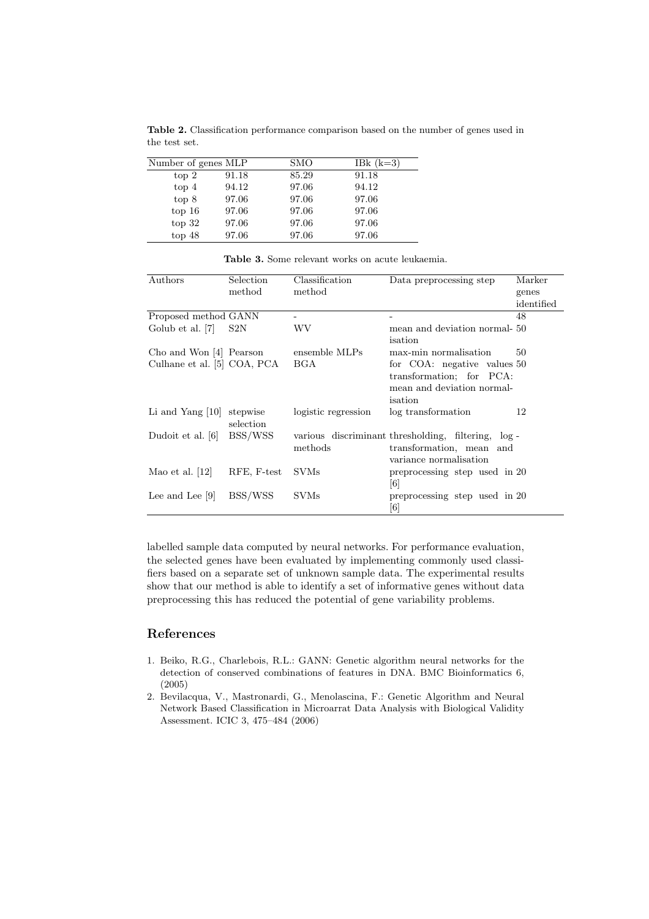| Number of genes MLP |       | SMO   | IBk $(k=3)$ |
|---------------------|-------|-------|-------------|
| top 2               | 91.18 | 85.29 | 91.18       |
| top 4               | 94.12 | 97.06 | 94.12       |
| top 8               | 97.06 | 97.06 | 97.06       |
| top 16              | 97.06 | 97.06 | 97.06       |
| top 32              | 97.06 | 97.06 | 97.06       |
| top 48              | 97.06 | 97.06 | 97.06       |

Table 2. Classification performance comparison based on the number of genes used in the test set.

| Authors                     | Selection   | Classification      | Data preprocessing step                             | Marker     |
|-----------------------------|-------------|---------------------|-----------------------------------------------------|------------|
|                             | method      | method              |                                                     | genes      |
|                             |             |                     |                                                     | identified |
| Proposed method GANN        |             |                     |                                                     | 48         |
| Golub et al. [7]            | S2N         | WV                  | mean and deviation normal-50                        |            |
|                             |             |                     | isation                                             |            |
| Cho and Won [4] Pearson     |             | ensemble MLPs       | max-min normalisation                               | 50         |
| Culhane et al. [5] COA, PCA |             | BGA                 | for COA: negative values 50                         |            |
|                             |             |                     | transformation; for PCA:                            |            |
|                             |             |                     | mean and deviation normal-                          |            |
|                             |             |                     | isation                                             |            |
| Li and Yang $ 10 $          | stepwise    | logistic regression | log transformation                                  | 12         |
|                             | selection   |                     |                                                     |            |
| Dudoit et al. [6]           | BSS/WSS     |                     | various discriminant thresholding, filtering, log - |            |
|                             |             | methods             | transformation, mean and                            |            |
|                             |             |                     | variance normalisation                              |            |
| Mao et al. $ 12 $           | RFE, F-test | <b>SVMs</b>         | preprocessing step used in 20                       |            |
|                             |             |                     | [6]                                                 |            |
| Lee and Lee $ 9 $           | BSS/WSS     | <b>SVMs</b>         | preprocessing step used in 20                       |            |
|                             |             |                     | $\lceil 6 \rceil$                                   |            |

Table 3. Some relevant works on acute leukaemia.

labelled sample data computed by neural networks. For performance evaluation, the selected genes have been evaluated by implementing commonly used classifiers based on a separate set of unknown sample data. The experimental results show that our method is able to identify a set of informative genes without data preprocessing this has reduced the potential of gene variability problems.

## References

- 1. Beiko, R.G., Charlebois, R.L.: GANN: Genetic algorithm neural networks for the detection of conserved combinations of features in DNA. BMC Bioinformatics 6, (2005)
- 2. Bevilacqua, V., Mastronardi, G., Menolascina, F.: Genetic Algorithm and Neural Network Based Classification in Microarrat Data Analysis with Biological Validity Assessment. ICIC 3, 475–484 (2006)